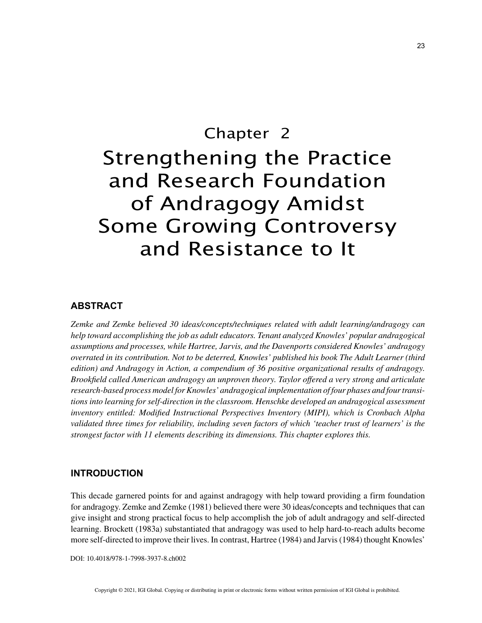# Chapter 2 Strengthening the Practice and Research Foundation of Andragogy Amidst Some Growing Controversy and Resistance to It

## **ABSTRACT**

*Zemke and Zemke believed 30 ideas/concepts/techniques related with adult learning/andragogy can help toward accomplishing the job as adult educators. Tenant analyzed Knowles' popular andragogical assumptions and processes, while Hartree, Jarvis, and the Davenports considered Knowles' andragogy overrated in its contribution. Not to be deterred, Knowles' published his book The Adult Learner (third edition) and Andragogy in Action, a compendium of 36 positive organizational results of andragogy. Brookfield called American andragogy an unproven theory. Taylor offered a very strong and articulate research-based process model for Knowles' andragogical implementation of four phases and four transitions into learning for self-direction in the classroom. Henschke developed an andragogical assessment inventory entitled: Modified Instructional Perspectives Inventory (MIPI), which is Cronbach Alpha validated three times for reliability, including seven factors of which 'teacher trust of learners' is the strongest factor with 11 elements describing its dimensions. This chapter explores this.*

#### **INTRODUCTION**

This decade garnered points for and against andragogy with help toward providing a firm foundation for andragogy. Zemke and Zemke (1981) believed there were 30 ideas/concepts and techniques that can give insight and strong practical focus to help accomplish the job of adult andragogy and self-directed learning. Brockett (1983a) substantiated that andragogy was used to help hard-to-reach adults become more self-directed to improve their lives. In contrast, Hartree (1984) and Jarvis (1984) thought Knowles'

DOI: 10.4018/978-1-7998-3937-8.ch002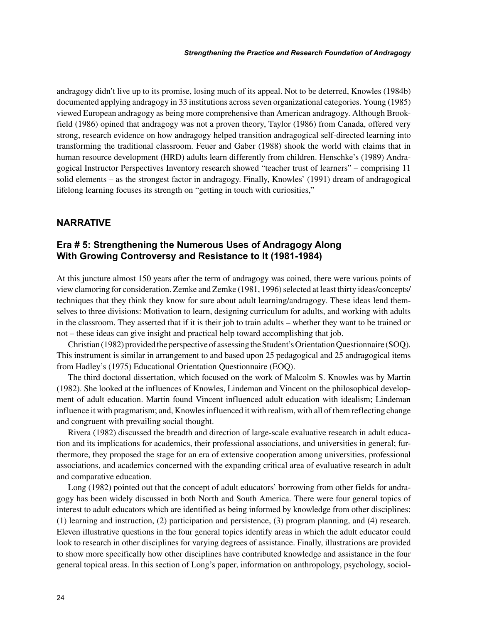andragogy didn't live up to its promise, losing much of its appeal. Not to be deterred, Knowles (1984b) documented applying andragogy in 33 institutions across seven organizational categories. Young (1985) viewed European andragogy as being more comprehensive than American andragogy. Although Brookfield (1986) opined that andragogy was not a proven theory, Taylor (1986) from Canada, offered very strong, research evidence on how andragogy helped transition andragogical self-directed learning into transforming the traditional classroom. Feuer and Gaber (1988) shook the world with claims that in human resource development (HRD) adults learn differently from children. Henschke's (1989) Andragogical Instructor Perspectives Inventory research showed "teacher trust of learners" – comprising 11 solid elements – as the strongest factor in andragogy. Finally, Knowles' (1991) dream of andragogical lifelong learning focuses its strength on "getting in touch with curiosities,"

## **NARRATIVE**

## **Era # 5: Strengthening the Numerous Uses of Andragogy Along With Growing Controversy and Resistance to It (1981-1984)**

At this juncture almost 150 years after the term of andragogy was coined, there were various points of view clamoring for consideration. Zemke and Zemke (1981, 1996) selected at least thirty ideas/concepts/ techniques that they think they know for sure about adult learning/andragogy. These ideas lend themselves to three divisions: Motivation to learn, designing curriculum for adults, and working with adults in the classroom. They asserted that if it is their job to train adults – whether they want to be trained or not – these ideas can give insight and practical help toward accomplishing that job.

Christian (1982) provided the perspective of assessing the Student's Orientation Questionnaire (SOQ). This instrument is similar in arrangement to and based upon 25 pedagogical and 25 andragogical items from Hadley's (1975) Educational Orientation Questionnaire (EOQ).

The third doctoral dissertation, which focused on the work of Malcolm S. Knowles was by Martin (1982). She looked at the influences of Knowles, Lindeman and Vincent on the philosophical development of adult education. Martin found Vincent influenced adult education with idealism; Lindeman influence it with pragmatism; and, Knowles influenced it with realism, with all of them reflecting change and congruent with prevailing social thought.

Rivera (1982) discussed the breadth and direction of large-scale evaluative research in adult education and its implications for academics, their professional associations, and universities in general; furthermore, they proposed the stage for an era of extensive cooperation among universities, professional associations, and academics concerned with the expanding critical area of evaluative research in adult and comparative education.

Long (1982) pointed out that the concept of adult educators' borrowing from other fields for andragogy has been widely discussed in both North and South America. There were four general topics of interest to adult educators which are identified as being informed by knowledge from other disciplines: (1) learning and instruction, (2) participation and persistence, (3) program planning, and (4) research. Eleven illustrative questions in the four general topics identify areas in which the adult educator could look to research in other disciplines for varying degrees of assistance. Finally, illustrations are provided to show more specifically how other disciplines have contributed knowledge and assistance in the four general topical areas. In this section of Long's paper, information on anthropology, psychology, sociol-